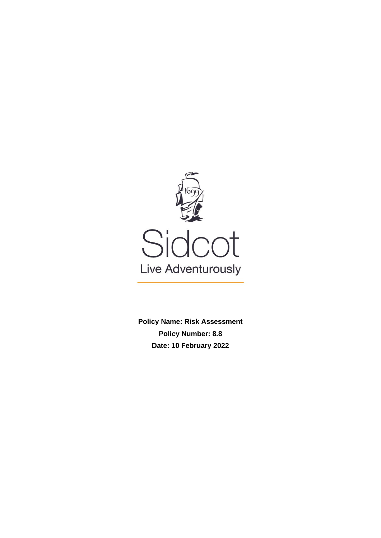

**Policy Name: Risk Assessment Policy Number: 8.8 Date: 10 February 2022**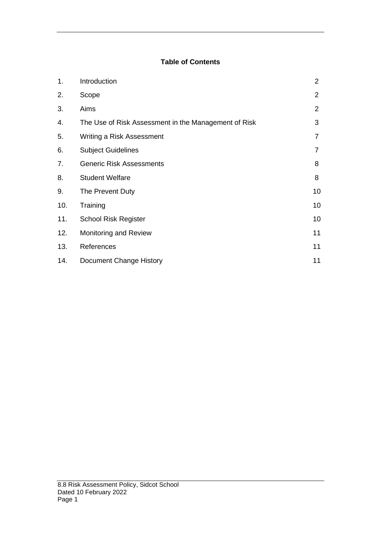# **Table of Contents**

| 1.  | Introduction                                         | $\overline{2}$ |
|-----|------------------------------------------------------|----------------|
| 2.  | Scope                                                | 2              |
| 3.  | Aims                                                 | 2              |
| 4.  | The Use of Risk Assessment in the Management of Risk | 3              |
| 5.  | Writing a Risk Assessment                            | $\overline{7}$ |
| 6.  | <b>Subject Guidelines</b>                            | $\overline{7}$ |
| 7.  | <b>Generic Risk Assessments</b>                      | 8              |
| 8.  | <b>Student Welfare</b>                               | 8              |
| 9.  | The Prevent Duty                                     | 10             |
| 10. | Training                                             | 10             |
| 11. | <b>School Risk Register</b>                          | 10             |
| 12. | <b>Monitoring and Review</b>                         | 11             |
| 13. | References                                           | 11             |
| 14. | <b>Document Change History</b>                       | 11             |
|     |                                                      |                |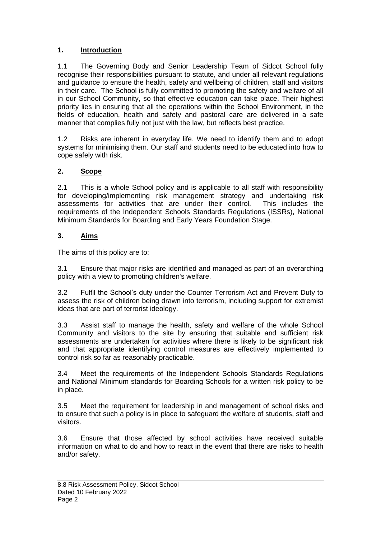## **1. Introduction**

1.1 The Governing Body and Senior Leadership Team of Sidcot School fully recognise their responsibilities pursuant to statute, and under all relevant regulations and guidance to ensure the health, safety and wellbeing of children, staff and visitors in their care. The School is fully committed to promoting the safety and welfare of all in our School Community, so that effective education can take place. Their highest priority lies in ensuring that all the operations within the School Environment, in the fields of education, health and safety and pastoral care are delivered in a safe manner that complies fully not just with the law, but reflects best practice.

1.2 Risks are inherent in everyday life. We need to identify them and to adopt systems for minimising them. Our staff and students need to be educated into how to cope safely with risk.

## **2. Scope**

2.1 This is a whole School policy and is applicable to all staff with responsibility for developing/implementing risk management strategy and undertaking risk assessments for activities that are under their control. This includes the assessments for activities that are under their control. requirements of the Independent Schools Standards Regulations (ISSRs), National Minimum Standards for Boarding and Early Years Foundation Stage.

## **3. Aims**

The aims of this policy are to:

3.1 Ensure that major risks are identified and managed as part of an overarching policy with a view to promoting children's welfare.

3.2 Fulfil the School's duty under the Counter Terrorism Act and Prevent Duty to assess the risk of children being drawn into terrorism, including support for extremist ideas that are part of terrorist ideology.

3.3 Assist staff to manage the health, safety and welfare of the whole School Community and visitors to the site by ensuring that suitable and sufficient risk assessments are undertaken for activities where there is likely to be significant risk and that appropriate identifying control measures are effectively implemented to control risk so far as reasonably practicable.

3.4 Meet the requirements of the Independent Schools Standards Regulations and National Minimum standards for Boarding Schools for a written risk policy to be in place.

3.5 Meet the requirement for leadership in and management of school risks and to ensure that such a policy is in place to safeguard the welfare of students, staff and visitors.

3.6 Ensure that those affected by school activities have received suitable information on what to do and how to react in the event that there are risks to health and/or safety.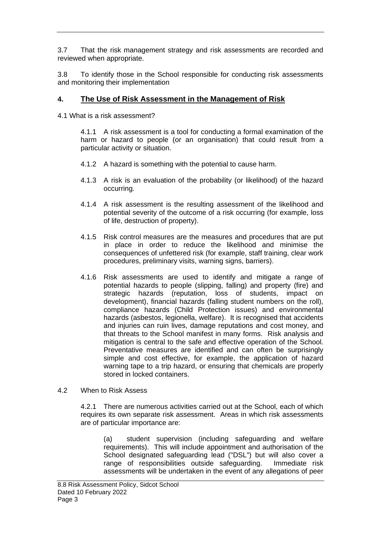3.7 That the risk management strategy and risk assessments are recorded and reviewed when appropriate.

3.8 To identify those in the School responsible for conducting risk assessments and monitoring their implementation

# **4. The Use of Risk Assessment in the Management of Risk**

4.1 What is a risk assessment?

4.1.1 A risk assessment is a tool for conducting a formal examination of the harm or hazard to people (or an organisation) that could result from a particular activity or situation.

- 4.1.2 A hazard is something with the potential to cause harm.
- 4.1.3 A risk is an evaluation of the probability (or likelihood) of the hazard occurring.
- 4.1.4 A risk assessment is the resulting assessment of the likelihood and potential severity of the outcome of a risk occurring (for example, loss of life, destruction of property).
- 4.1.5 Risk control measures are the measures and procedures that are put in place in order to reduce the likelihood and minimise the consequences of unfettered risk (for example, staff training, clear work procedures, preliminary visits, warning signs, barriers).
- 4.1.6 Risk assessments are used to identify and mitigate a range of potential hazards to people (slipping, falling) and property (fire) and strategic hazards (reputation, loss of students, impact on development), financial hazards (falling student numbers on the roll), compliance hazards (Child Protection issues) and environmental hazards (asbestos, legionella, welfare). It is recognised that accidents and injuries can ruin lives, damage reputations and cost money, and that threats to the School manifest in many forms. Risk analysis and mitigation is central to the safe and effective operation of the School. Preventative measures are identified and can often be surprisingly simple and cost effective, for example, the application of hazard warning tape to a trip hazard, or ensuring that chemicals are properly stored in locked containers.

## 4.2 When to Risk Assess

4.2.1 There are numerous activities carried out at the School, each of which requires its own separate risk assessment. Areas in which risk assessments are of particular importance are:

(a) student supervision (including safeguarding and welfare requirements). This will include appointment and authorisation of the School designated safeguarding lead ("DSL") but will also cover a range of responsibilities outside safeguarding. Immediate risk assessments will be undertaken in the event of any allegations of peer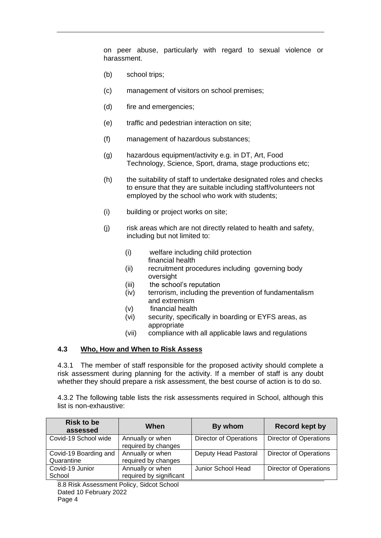on peer abuse, particularly with regard to sexual violence or harassment.

- (b) school trips;
- (c) management of visitors on school premises;
- (d) fire and emergencies;
- (e) traffic and pedestrian interaction on site;
- (f) management of hazardous substances;
- (g) hazardous equipment/activity e.g. in DT, Art, Food Technology, Science, Sport, drama, stage productions etc;
- (h) the suitability of staff to undertake designated roles and checks to ensure that they are suitable including staff/volunteers not employed by the school who work with students;
- (i) building or project works on site;
- (i) risk areas which are not directly related to health and safety, including but not limited to:
	- (i) welfare including child protection financial health
	- (ii) recruitment procedures including governing body oversight
	- (iii) the school's reputation
	- (iv) terrorism, including the prevention of fundamentalism and extremism
	- (v) financial health
	- (vi) security, specifically in boarding or EYFS areas, as appropriate
	- (vii) compliance with all applicable laws and regulations

## **4.3 Who, How and When to Risk Assess**

4.3.1 The member of staff responsible for the proposed activity should complete a risk assessment during planning for the activity. If a member of staff is any doubt whether they should prepare a risk assessment, the best course of action is to do so.

4.3.2 The following table lists the risk assessments required in School, although this list is non-exhaustive:

| <b>Risk to be</b><br>assessed       | When                                        | By whom                       | <b>Record kept by</b>         |
|-------------------------------------|---------------------------------------------|-------------------------------|-------------------------------|
| Covid-19 School wide                | Annually or when<br>required by changes     | <b>Director of Operations</b> | <b>Director of Operations</b> |
| Covid-19 Boarding and<br>Quarantine | Annually or when<br>required by changes     | Deputy Head Pastoral          | <b>Director of Operations</b> |
| Covid-19 Junior<br>School           | Annually or when<br>required by significant | Junior School Head            | <b>Director of Operations</b> |

8.8 Risk Assessment Policy, Sidcot School Dated 10 February 2022 Page 4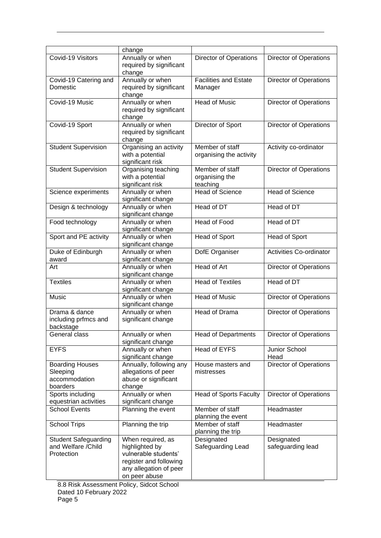|                             | change                                 |                               |                                |
|-----------------------------|----------------------------------------|-------------------------------|--------------------------------|
| Covid-19 Visitors           | Annually or when                       |                               |                                |
|                             |                                        | <b>Director of Operations</b> | <b>Director of Operations</b>  |
|                             | required by significant                |                               |                                |
|                             | change                                 |                               |                                |
| Covid-19 Catering and       | Annually or when                       | <b>Facilities and Estate</b>  | <b>Director of Operations</b>  |
| Domestic                    | required by significant                | Manager                       |                                |
|                             | change                                 |                               |                                |
| Covid-19 Music              | Annually or when                       | <b>Head of Music</b>          | <b>Director of Operations</b>  |
|                             | required by significant                |                               |                                |
|                             | change                                 |                               |                                |
| Covid-19 Sport              | Annually or when                       | Director of Sport             | <b>Director of Operations</b>  |
|                             | required by significant                |                               |                                |
|                             | change                                 |                               |                                |
| <b>Student Supervision</b>  | Organising an activity                 | Member of staff               | Activity co-ordinator          |
|                             | with a potential                       | organising the activity       |                                |
|                             | significant risk                       |                               |                                |
| <b>Student Supervision</b>  | Organising teaching                    | Member of staff               | <b>Director of Operations</b>  |
|                             | with a potential                       | organising the                |                                |
|                             |                                        |                               |                                |
|                             | significant risk                       | teaching                      |                                |
| Science experiments         | Annually or when                       | <b>Head of Science</b>        | <b>Head of Science</b>         |
|                             | significant change                     |                               |                                |
| Design & technology         | Annually or when                       | Head of DT                    | Head of DT                     |
|                             | significant change                     |                               |                                |
| Food technology             | Annually or when                       | <b>Head of Food</b>           | Head of DT                     |
|                             | significant change                     |                               |                                |
| Sport and PE activity       | Annually or when                       | <b>Head of Sport</b>          | <b>Head of Sport</b>           |
|                             | significant change                     |                               |                                |
| Duke of Edinburgh           | Annually or when                       | DofE Organiser                | <b>Activities Co-ordinator</b> |
| award                       | significant change                     |                               |                                |
| Art                         | Annually or when                       | Head of Art                   | <b>Director of Operations</b>  |
|                             | significant change                     |                               |                                |
| <b>Textiles</b>             | Annually or when                       | <b>Head of Textiles</b>       | Head of DT                     |
|                             | significant change                     |                               |                                |
| Music                       | Annually or when                       | <b>Head of Music</b>          | <b>Director of Operations</b>  |
|                             | significant change                     |                               |                                |
| Drama & dance               |                                        | <b>Head of Drama</b>          |                                |
|                             | Annually or when                       |                               | <b>Director of Operations</b>  |
| including prfmcs and        | significant change                     |                               |                                |
| backstage                   |                                        |                               |                                |
| General class               | Annually or when                       | <b>Head of Departments</b>    | Director of Operations         |
|                             | significant change                     |                               |                                |
| <b>EYFS</b>                 | Annually or when                       | Head of EYFS                  | Junior School                  |
|                             | significant change                     |                               | Head                           |
| <b>Boarding Houses</b>      | Annually, following any                | House masters and             | <b>Director of Operations</b>  |
| Sleeping                    | allegations of peer                    | mistresses                    |                                |
| accommodation               | abuse or significant                   |                               |                                |
| boarders                    | change                                 |                               |                                |
| Sports including            | Annually or when                       | <b>Head of Sports Faculty</b> | Director of Operations         |
| equestrian activities       | significant change                     |                               |                                |
| <b>School Events</b>        | Planning the event                     | Member of staff               | Headmaster                     |
|                             |                                        | planning the event            |                                |
| <b>School Trips</b>         | Planning the trip                      | Member of staff               | Headmaster                     |
|                             |                                        | planning the trip             |                                |
| <b>Student Safeguarding</b> | When required, as                      | Designated                    | Designated                     |
| and Welfare / Child         |                                        |                               |                                |
|                             | highlighted by<br>vulnerable students' | Safeguarding Lead             | safeguarding lead              |
| Protection                  |                                        |                               |                                |
|                             | register and following                 |                               |                                |
|                             | any allegation of peer                 |                               |                                |
|                             | on peer abuse                          |                               |                                |

8.8 Risk Assessment Policy, Sidcot School Dated 10 February 2022 Page 5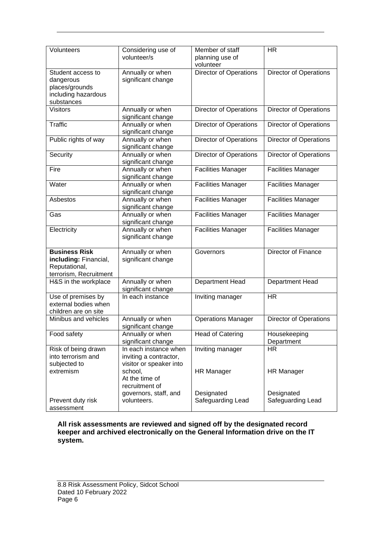| Volunteers                                                                               | Considering use of<br>volunteer/s                                          | Member of staff<br>planning use of<br>volunteer | <b>HR</b>                       |
|------------------------------------------------------------------------------------------|----------------------------------------------------------------------------|-------------------------------------------------|---------------------------------|
| Student access to<br>dangerous<br>places/grounds<br>including hazardous<br>substances    | Annually or when<br>significant change                                     | <b>Director of Operations</b>                   | <b>Director of Operations</b>   |
| <b>Visitors</b>                                                                          | Annually or when<br>significant change                                     | <b>Director of Operations</b>                   | <b>Director of Operations</b>   |
| <b>Traffic</b>                                                                           | Annually or when<br>significant change                                     | <b>Director of Operations</b>                   | <b>Director of Operations</b>   |
| Public rights of way                                                                     | Annually or when<br>significant change                                     | <b>Director of Operations</b>                   | <b>Director of Operations</b>   |
| Security                                                                                 | Annually or when<br>significant change                                     | <b>Director of Operations</b>                   | <b>Director of Operations</b>   |
| Fire                                                                                     | Annually or when<br>significant change                                     | <b>Facilities Manager</b>                       | <b>Facilities Manager</b>       |
| Water                                                                                    | Annually or when<br>significant change                                     | <b>Facilities Manager</b>                       | <b>Facilities Manager</b>       |
| Asbestos                                                                                 | Annually or when<br>significant change                                     | <b>Facilities Manager</b>                       | <b>Facilities Manager</b>       |
| Gas                                                                                      | Annually or when<br>significant change                                     | <b>Facilities Manager</b>                       | <b>Facilities Manager</b>       |
| Electricity                                                                              | Annually or when<br>significant change                                     | <b>Facilities Manager</b>                       | <b>Facilities Manager</b>       |
| <b>Business Risk</b><br>including: Financial,<br>Reputational,<br>terrorism, Recruitment | Annually or when<br>significant change                                     | Governors                                       | <b>Director of Finance</b>      |
| H&S in the workplace                                                                     | Annually or when<br>significant change                                     | Department Head                                 | Department Head                 |
| Use of premises by<br>external bodies when<br>children are on site                       | In each instance                                                           | Inviting manager                                | <b>HR</b>                       |
| Minibus and vehicles                                                                     | Annually or when<br>significant change                                     | <b>Operations Manager</b>                       | <b>Director of Operations</b>   |
| Food safety                                                                              | Annually or when<br>significant change                                     | <b>Head of Catering</b>                         | Housekeeping<br>Department      |
| Risk of being drawn<br>into terrorism and<br>subjected to                                | In each instance when<br>inviting a contractor,<br>visitor or speaker into | Inviting manager                                | HR.                             |
| extremism                                                                                | school,<br>At the time of<br>recruitment of                                | <b>HR Manager</b>                               | <b>HR Manager</b>               |
| Prevent duty risk<br>assessment                                                          | governors, staff, and<br>volunteers.                                       | Designated<br>Safeguarding Lead                 | Designated<br>Safeguarding Lead |

#### **All risk assessments are reviewed and signed off by the designated record keeper and archived electronically on the General Information drive on the IT system.**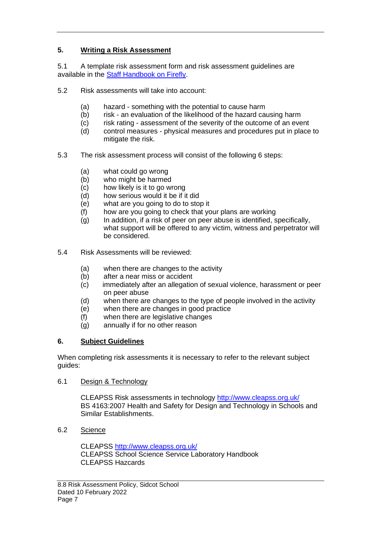## **5. Writing a Risk Assessment**

5.1 A template risk assessment form and risk assessment guidelines are available in the [Staff Handbook on Firefly.](http://intranet.sidcot.org.uk/staff-handbook/health-and-safety-1)

- 5.2 Risk assessments will take into account:
	- (a) hazard something with the potential to cause harm
	- (b) risk an evaluation of the likelihood of the hazard causing harm
	- (c) risk rating assessment of the severity of the outcome of an event
	- (d) control measures physical measures and procedures put in place to mitigate the risk.
- 5.3 The risk assessment process will consist of the following 6 steps:
	- (a) what could go wrong
	- (b) who might be harmed
	- (c) how likely is it to go wrong
	- (d) how serious would it be if it did
	- (e) what are you going to do to stop it
	- (f) how are you going to check that your plans are working
	- (g) In addition, if a risk of peer on peer abuse is identified, specifically, what support will be offered to any victim, witness and perpetrator will be considered.
- 5.4 Risk Assessments will be reviewed:
	- (a) when there are changes to the activity
	- (b) after a near miss or accident
	- (c) immediately after an allegation of sexual violence, harassment or peer on peer abuse
	- (d) when there are changes to the type of people involved in the activity
	- (e) when there are changes in good practice
	- (f) when there are legislative changes
	- (g) annually if for no other reason

## **6. Subject Guidelines**

When completing risk assessments it is necessary to refer to the relevant subject guides:

#### 6.1 Design & Technology

CLEAPSS Risk assessments in technology<http://www.cleapss.org.uk/> BS 4163:2007 Health and Safety for Design and Technology in Schools and Similar Establishments.

## 6.2 Science

CLEAPSS<http://www.cleapss.org.uk/> CLEAPSS School Science Service Laboratory Handbook CLEAPSS Hazcards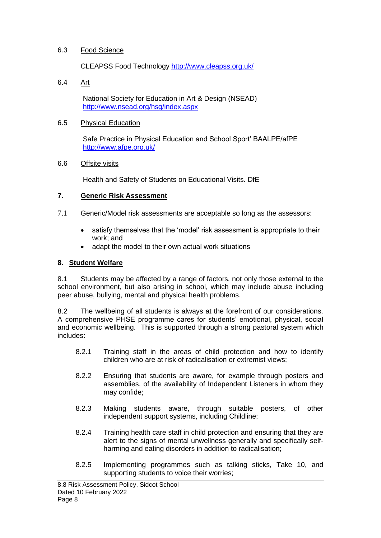### 6.3 Food Science

CLEAPSS Food Technology<http://www.cleapss.org.uk/>

### 6.4 Art

National Society for Education in Art & Design (NSEAD) <http://www.nsead.org/hsg/index.aspx>

#### 6.5 Physical Education

Safe Practice in Physical Education and School Sport' BAALPE/afPE <http://www.afpe.org.uk/>

#### 6.6 Offsite visits

Health and Safety of Students on Educational Visits. DfE

## **7. Generic Risk Assessment**

- 7.1 Generic/Model risk assessments are acceptable so long as the assessors:
	- satisfy themselves that the 'model' risk assessment is appropriate to their work; and
	- adapt the model to their own actual work situations

## **8. Student Welfare**

8.1 Students may be affected by a range of factors, not only those external to the school environment, but also arising in school, which may include abuse including peer abuse, bullying, mental and physical health problems.

8.2 The wellbeing of all students is always at the forefront of our considerations. A comprehensive PHSE programme cares for students' emotional, physical, social and economic wellbeing. This is supported through a strong pastoral system which includes:

- 8.2.1 Training staff in the areas of child protection and how to identify children who are at risk of radicalisation or extremist views;
- 8.2.2 Ensuring that students are aware, for example through posters and assemblies, of the availability of Independent Listeners in whom they may confide;
- 8.2.3 Making students aware, through suitable posters, of other independent support systems, including Childline;
- 8.2.4 Training health care staff in child protection and ensuring that they are alert to the signs of mental unwellness generally and specifically selfharming and eating disorders in addition to radicalisation;
- 8.2.5 Implementing programmes such as talking sticks, Take 10, and supporting students to voice their worries;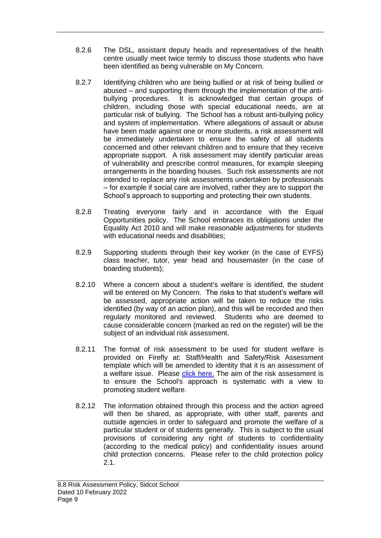- 8.2.6 The DSL, assistant deputy heads and representatives of the health centre usually meet twice termly to discuss those students who have been identified as being vulnerable on My Concern.
- 8.2.7 Identifying children who are being bullied or at risk of being bullied or abused – and supporting them through the implementation of the antibullying procedures. It is acknowledged that certain groups of children, including those with special educational needs, are at particular risk of bullying. The School has a robust anti-bullying policy and system of implementation. Where allegations of assault or abuse have been made against one or more students, a risk assessment will be immediately undertaken to ensure the safety of all students concerned and other relevant children and to ensure that they receive appropriate support. A risk assessment may identify particular areas of vulnerability and prescribe control measures, for example sleeping arrangements in the boarding houses. Such risk assessments are not intended to replace any risk assessments undertaken by professionals – for example if social care are involved, rather they are to support the School's approach to supporting and protecting their own students.
- 8.2.8 Treating everyone fairly and in accordance with the Equal Opportunities policy. The School embraces its obligations under the Equality Act 2010 and will make reasonable adjustments for students with educational needs and disabilities;
- 8.2.9 Supporting students through their key worker (in the case of EYFS) class teacher, tutor, year head and housemaster (in the case of boarding students);
- 8.2.10 Where a concern about a student's welfare is identified, the student will be entered on My Concern. The risks to that student's welfare will be assessed, appropriate action will be taken to reduce the risks identified (by way of an action plan), and this will be recorded and then regularly monitored and reviewed. Students who are deemed to cause considerable concern (marked as red on the register) will be the subject of an individual risk assessment.
- 8.2.11 The format of risk assessment to be used for student welfare is provided on Firefly at: Staff/Health and Safety/Risk Assessment template which will be amended to identity that it is an assessment of a welfare issue. Please [click here.](http://intranet.sidcot.org.uk/staff-handbook/health-and-safety-1/risk-assessments/write-a-risk-assessment) The aim of the risk assessment is to ensure the School's approach is systematic with a view to promoting student welfare.
- 8.2.12 The information obtained through this process and the action agreed will then be shared, as appropriate, with other staff, parents and outside agencies in order to safeguard and promote the welfare of a particular student or of students generally. This is subject to the usual provisions of considering any right of students to confidentiality (according to the medical policy) and confidentiality issues around child protection concerns. Please refer to the child protection policy 2.1.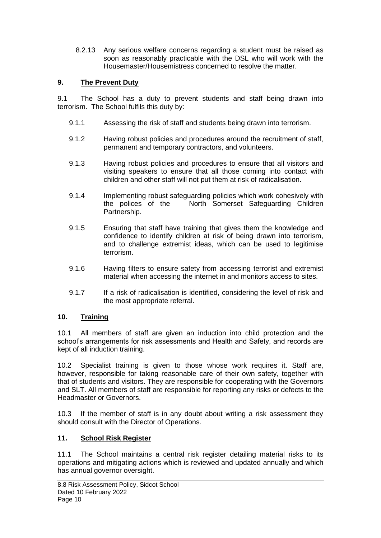8.2.13 Any serious welfare concerns regarding a student must be raised as soon as reasonably practicable with the DSL who will work with the Housemaster/Housemistress concerned to resolve the matter.

# **9. The Prevent Duty**

9.1 The School has a duty to prevent students and staff being drawn into terrorism. The School fulfils this duty by:

- 9.1.1 Assessing the risk of staff and students being drawn into terrorism.
- 9.1.2 Having robust policies and procedures around the recruitment of staff, permanent and temporary contractors, and volunteers.
- 9.1.3 Having robust policies and procedures to ensure that all visitors and visiting speakers to ensure that all those coming into contact with children and other staff will not put them at risk of radicalisation.
- 9.1.4 Implementing robust safeguarding policies which work cohesively with the polices of the North Somerset Safeguarding Children Partnership.
- 9.1.5 Ensuring that staff have training that gives them the knowledge and confidence to identify children at risk of being drawn into terrorism, and to challenge extremist ideas, which can be used to legitimise terrorism.
- 9.1.6 Having filters to ensure safety from accessing terrorist and extremist material when accessing the internet in and monitors access to sites.
- 9.1.7 If a risk of radicalisation is identified, considering the level of risk and the most appropriate referral.

# **10. Training**

10.1 All members of staff are given an induction into child protection and the school's arrangements for risk assessments and Health and Safety, and records are kept of all induction training.

10.2 Specialist training is given to those whose work requires it. Staff are, however, responsible for taking reasonable care of their own safety, together with that of students and visitors. They are responsible for cooperating with the Governors and SLT. All members of staff are responsible for reporting any risks or defects to the Headmaster or Governors.

10.3 If the member of staff is in any doubt about writing a risk assessment they should consult with the Director of Operations.

# **11. School Risk Register**

11.1 The School maintains a central risk register detailing material risks to its operations and mitigating actions which is reviewed and updated annually and which has annual governor oversight.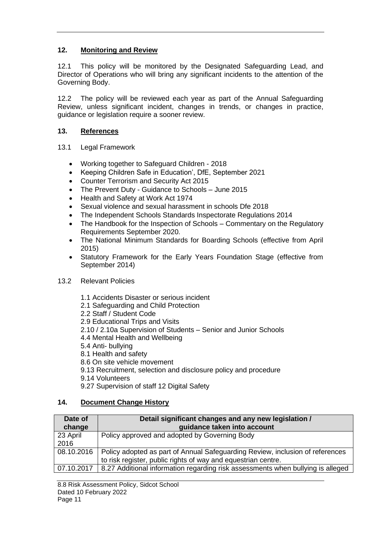## **12. Monitoring and Review**

12.1 This policy will be monitored by the Designated Safeguarding Lead, and Director of Operations who will bring any significant incidents to the attention of the Governing Body.

12.2 The policy will be reviewed each year as part of the Annual Safeguarding Review, unless significant incident, changes in trends, or changes in practice, guidance or legislation require a sooner review.

## **13. References**

- 13.1 Legal Framework
	- Working together to Safeguard Children 2018
	- Keeping Children Safe in Education', DfE, September 2021
	- Counter Terrorism and Security Act 2015
	- The Prevent Duty Guidance to Schools June 2015
	- Health and Safety at Work Act 1974
	- Sexual violence and sexual harassment in schools Dfe 2018
	- The Independent Schools Standards Inspectorate Regulations 2014
	- The Handbook for the Inspection of Schools Commentary on the Regulatory Requirements September 2020.
	- The National Minimum Standards for Boarding Schools (effective from April 2015)
	- Statutory Framework for the Early Years Foundation Stage (effective from September 2014)

## 13.2 Relevant Policies

- 1.1 Accidents Disaster or serious incident
- 2.1 Safeguarding and Child Protection
- 2.2 Staff / Student Code
- 2.9 Educational Trips and Visits
- 2.10 / 2.10a Supervision of Students Senior and Junior Schools
- 4.4 Mental Health and Wellbeing
- 5.4 Anti- bullying
- 8.1 Health and safety
- 8.6 On site vehicle movement
- 9.13 Recruitment, selection and disclosure policy and procedure
- 9.14 Volunteers
- 9.27 Supervision of staff 12 Digital Safety

## **14. Document Change History**

| Date of<br>change | Detail significant changes and any new legislation /<br>guidance taken into account                                                            |
|-------------------|------------------------------------------------------------------------------------------------------------------------------------------------|
| 23 April<br>2016  | Policy approved and adopted by Governing Body                                                                                                  |
| 08.10.2016        | Policy adopted as part of Annual Safeguarding Review, inclusion of references<br>to risk register, public rights of way and equestrian centre. |
| 07.10.2017        | 8.27 Additional information regarding risk assessments when bullying is alleged                                                                |